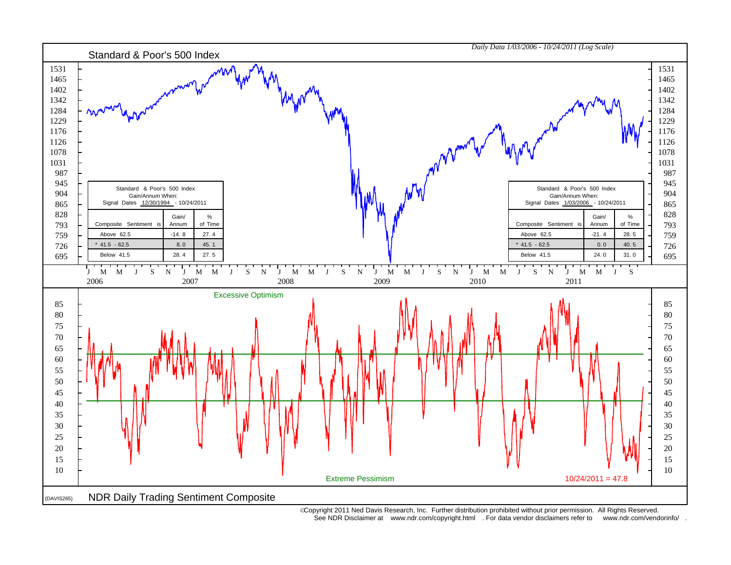

 Copyright 2011 Ned Davis Research, Inc. Further distribution prohibited without prior permission. All Rights Reserved. See NDR Disclaimer at www.ndr.com/copyright.html . For data vendor disclaimers refer to www.ndr.com/vendorinfo/ .